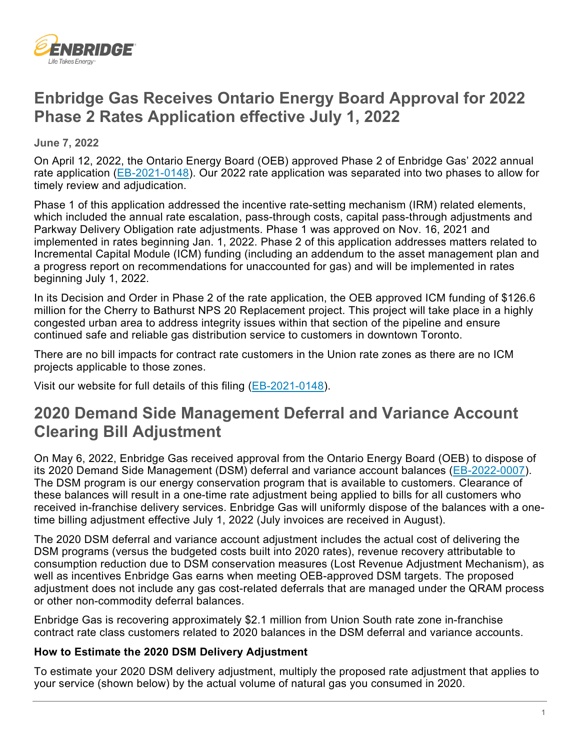

## **Enbridge Gas Receives Ontario Energy Board Approval for 2022 Phase 2 Rates Application effective July 1, 2022**

 **June 7, 2022** 

On April 12, 2022, the Ontario Energy Board (OEB) approved Phase 2 of Enbridge Gas' 2022 annual rate application [\(EB-2021-0148\)](https://www.enbridgegas.com/about-enbridge-gas/regulatory). Our 2022 rate application was separated into two phases to allow for timely review and adjudication.

 Parkway Delivery Obligation rate adjustments. Phase 1 was approved on Nov. 16, 2021 and implemented in rates beginning Jan. 1, 2022. Phase 2 of this application addresses matters related to Phase 1 of this application addressed the incentive rate-setting mechanism (IRM) related elements, which included the annual rate escalation, pass-through costs, capital pass-through adjustments and Incremental Capital Module (ICM) funding (including an addendum to the asset management plan and a progress report on recommendations for unaccounted for gas) and will be implemented in rates beginning July 1, 2022.

 million for the Cherry to Bathurst NPS 20 Replacement project. This project will take place in a highly In its Decision and Order in Phase 2 of the rate application, the OEB approved ICM funding of \$126.6 congested urban area to address integrity issues within that section of the pipeline and ensure continued safe and reliable gas distribution service to customers in downtown Toronto.

There are no bill impacts for contract rate customers in the Union rate zones as there are no ICM projects applicable to those zones.

Visit our website for full details of this filing (<u>EB-2021-0148</u>).

## **2020 Demand Side Management Deferral and Variance Account Clearing Bill Adjustment**

 received in-franchise delivery services. Enbridge Gas will uniformly dispose of the balances with a one-On May 6, 2022, Enbridge Gas received approval from the Ontario Energy Board (OEB) to dispose of its 2020 Demand Side Management (DSM) deferral and variance account balances [\(EB-2022-0007\)](https://www.enbridgegas.com/about-enbridge-gas/regulatory). The DSM program is our energy conservation program that is available to customers. Clearance of these balances will result in a one-time rate adjustment being applied to bills for all customers who time billing adjustment effective July 1, 2022 (July invoices are received in August).

The 2020 DSM deferral and variance account adjustment includes the actual cost of delivering the DSM programs (versus the budgeted costs built into 2020 rates), revenue recovery attributable to consumption reduction due to DSM conservation measures (Lost Revenue Adjustment Mechanism), as well as incentives Enbridge Gas earns when meeting OEB-approved DSM targets. The proposed adjustment does not include any gas cost-related deferrals that are managed under the QRAM process or other non-commodity deferral balances.

Enbridge Gas is recovering approximately \$2.1 million from Union South rate zone in-franchise contract rate class customers related to 2020 balances in the DSM deferral and variance accounts.

## **How to Estimate the 2020 DSM Delivery Adjustment**

To estimate your 2020 DSM delivery adjustment, multiply the proposed rate adjustment that applies to your service (shown below) by the actual volume of natural gas you consumed in 2020.